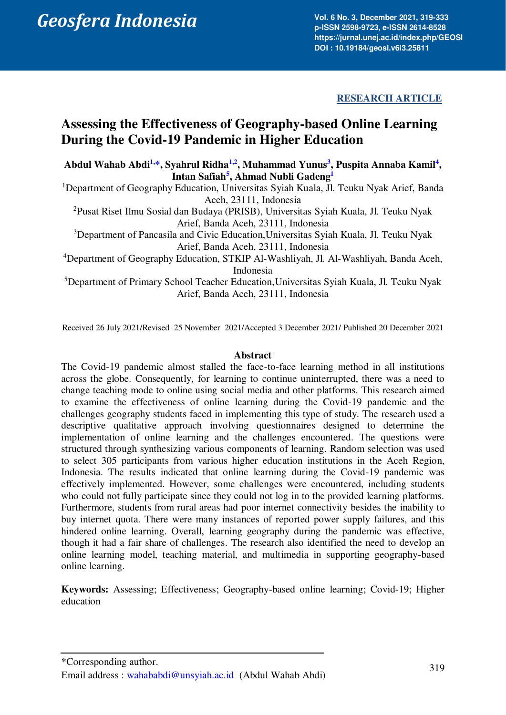# Abdul Geosfera Indonesia 6 (3), 201. 6 No. 3, December (3), 2021, 6 No. 31, December (3), 2021, 319-3534 (4), 2021, 319-4534 (4), 2021, 319-4534 (4), 2021, 319-4534 (4), 2021, 319-4534 (4), 2021, 319-4534 (4), 2021, 319-45

**Vol. 6 No. 3, December 2021, 319-333 p-ISSN 2598-9723, e-ISSN 2614-8528 https://jurnal.unej.ac.id/index.php/GEOSI DOI : 10.19184/geosi.v6i3.25811**

**RESEARCH ARTICLE** 

# **Assessing the Effectiveness of Geography-based Online Learning During the Covid-19 Pandemic in Higher Education**

**Abdul Wahab Abdi[1,](#page-0-0) [\\*,](#page-0-1) Syahrul Ridha[1,](#page-0-0)[2](#page-0-2) , Muhammad Yunus[3](#page-0-3) , Puspita Annaba Kami[l](#page-0-4)<sup>4</sup> , Intan Safiah[5](#page-0-5) , Ahmad Nubli Gadeng[1](#page-0-0)**

<span id="page-0-0"></span><sup>1</sup>Department of Geography Education, Universitas Syiah Kuala, Jl. Teuku Nyak Arief, Banda Aceh, 23111, Indonesia

<span id="page-0-2"></span><sup>2</sup>Pusat Riset Ilmu Sosial dan Budaya (PRISB), Universitas Syiah Kuala, Jl. Teuku Nyak Arief, Banda Aceh, 23111, Indonesia

<span id="page-0-3"></span><sup>3</sup>Department of Pancasila and Civic Education,Universitas Syiah Kuala, Jl. Teuku Nyak Arief, Banda Aceh, 23111, Indonesia

<span id="page-0-4"></span><sup>4</sup>Department of Geography Education, STKIP Al-Washliyah, Jl. Al-Washliyah, Banda Aceh, Indonesia

<span id="page-0-5"></span><sup>5</sup>Department of Primary School Teacher Education,Universitas Syiah Kuala, Jl. Teuku Nyak Arief, Banda Aceh, 23111, Indonesia

Received 26 July 2021/Revised 25 November 2021/Accepted 3 December 2021/ Published 20 December 2021

#### **Abstract**

The Covid-19 pandemic almost stalled the face-to-face learning method in all institutions across the globe. Consequently, for learning to continue uninterrupted, there was a need to change teaching mode to online using social media and other platforms. This research aimed to examine the effectiveness of online learning during the Covid-19 pandemic and the challenges geography students faced in implementing this type of study. The research used a descriptive qualitative approach involving questionnaires designed to determine the implementation of online learning and the challenges encountered. The questions were structured through synthesizing various components of learning. Random selection was used to select 305 participants from various higher education institutions in the Aceh Region, Indonesia. The results indicated that online learning during the Covid-19 pandemic was effectively implemented. However, some challenges were encountered, including students who could not fully participate since they could not log in to the provided learning platforms. Furthermore, students from rural areas had poor internet connectivity besides the inability to buy internet quota. There were many instances of reported power supply failures, and this hindered online learning. Overall, learning geography during the pandemic was effective, though it had a fair share of challenges. The research also identified the need to develop an online learning model, teaching material, and multimedia in supporting geography-based online learning.

**Keywords:** Assessing; Effectiveness; Geography-based online learning; Covid-19; Higher education

<span id="page-0-1"></span><sup>\*</sup>Corresponding author. Email address : [wahababdi@unsyiah.ac.id](mailto:wahababdi@unsyiah.ac.id) (Abdul Wahab Abdi)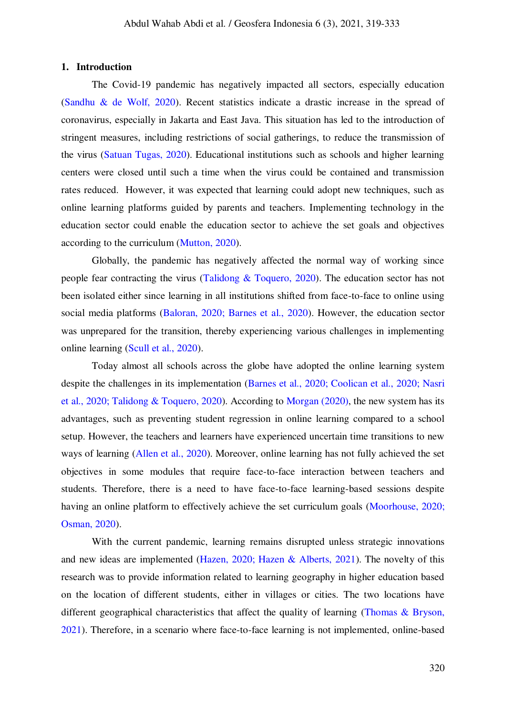#### **1. Introduction**

The Covid-19 pandemic has negatively impacted all sectors, especially education [\(Sandhu & de Wolf, 2020\).](#page-14-0) Recent statistics indicate a drastic increase in the spread of coronavirus, especially in Jakarta and East Java. This situation has led to the introduction of stringent measures, including restrictions of social gatherings, to reduce the transmission of the virus [\(Satuan Tugas, 2020\).](#page-14-1) Educational institutions such as schools and higher learning centers were closed until such a time when the virus could be contained and transmission rates reduced. However, it was expected that learning could adopt new techniques, such as online learning platforms guided by parents and teachers. Implementing technology in the education sector could enable the education sector to achieve the set goals and objectives according to the curriculum [\(Mutton, 2020\).](#page-13-0) 

Globally, the pandemic has negatively affected the normal way of working since people fear contracting the virus [\(Talidong & Toquero, 2020\).](#page-14-2) The education sector has not been isolated either since learning in all institutions shifted from face-to-face to online using social media platforms [\(Baloran, 2020;](#page-12-0) [Barnes et al., 2020\).](#page-12-1) However, the education sector was unprepared for the transition, thereby experiencing various challenges in implementing online learning [\(Scull et al., 2020\).](#page-14-3)

Today almost all schools across the globe have adopted the online learning system despite the challenges in its implementation [\(Barnes et al., 2020;](#page-12-1) [Coolican et al., 2020;](#page-12-2) [Nasri](#page-13-1)  [et al., 2020;](#page-13-1) [Talidong & Toquero, 2020\).](#page-14-2) According to [Morgan \(2020\),](#page-13-2) the new system has its advantages, such as preventing student regression in online learning compared to a school setup. However, the teachers and learners have experienced uncertain time transitions to new ways of learning [\(Allen et al., 2020\).](#page-12-3) Moreover, online learning has not fully achieved the set objectives in some modules that require face-to-face interaction between teachers and students. Therefore, there is a need to have face-to-face learning-based sessions despite having an online platform to effectively achieve the set curriculum goals [\(Moorhouse, 2020;](#page-13-3) [Osman, 2020\).](#page-13-4)

With the current pandemic, learning remains disrupted unless strategic innovations and new ideas are implemented [\(Hazen, 2020;](#page-13-5) [Hazen & Alberts, 2021\).](#page-13-6) The novelty of this research was to provide information related to learning geography in higher education based on the location of different students, either in villages or cities. The two locations have different geographical characteristics that affect the quality of learning [\(Thomas & Bryson,](#page-14-4)  2021). Therefore, in a scenario where face-to-face learning is not implemented, online-based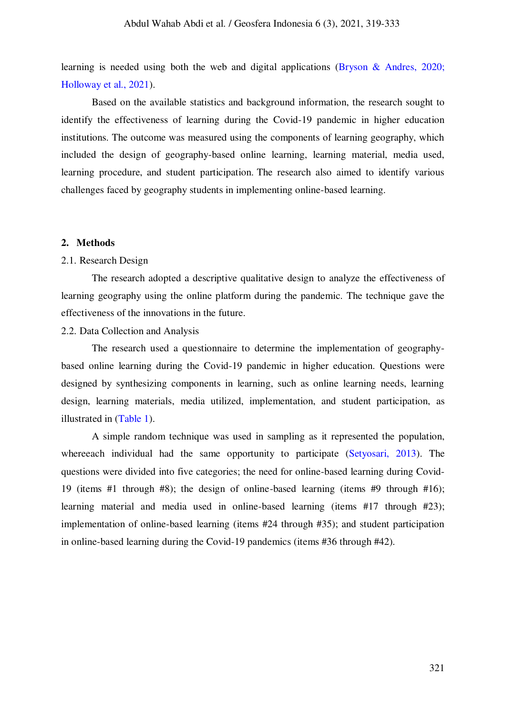<span id="page-2-0"></span>learning is needed using both the web and digital applications [\(Bryson & Andres, 2020;](#page-12-4) [Holloway et al., 2021\).](#page-2-0)

Based on the available statistics and background information, the research sought to identify the effectiveness of learning during the Covid-19 pandemic in higher education institutions. The outcome was measured using the components of learning geography, which included the design of geography-based online learning, learning material, media used, learning procedure, and student participation. The research also aimed to identify various challenges faced by geography students in implementing online-based learning.

#### **2. Methods**

#### 2.1. Research Design

 The research adopted a descriptive qualitative design to analyze the effectiveness of learning geography using the online platform during the pandemic. The technique gave the effectiveness of the innovations in the future.

## 2.2. Data Collection and Analysis

The research used a questionnaire to determine the implementation of geographybased online learning during the Covid-19 pandemic in higher education. Questions were designed by synthesizing components in learning, such as online learning needs, learning design, learning materials, media utilized, implementation, and student participation, as illustrated in [\(Table 1\).](#page-2-1)

<span id="page-2-1"></span>A simple random technique was used in sampling as it represented the population, whereeach individual had the same opportunity to participate [\(Setyosari, 2013\).](#page-14-5) The questions were divided into five categories; the need for online-based learning during Covid-19 (items #1 through #8); the design of online-based learning (items #9 through #16); learning material and media used in online-based learning (items #17 through #23); implementation of online-based learning (items #24 through #35); and student participation in online-based learning during the Covid-19 pandemics (items #36 through #42).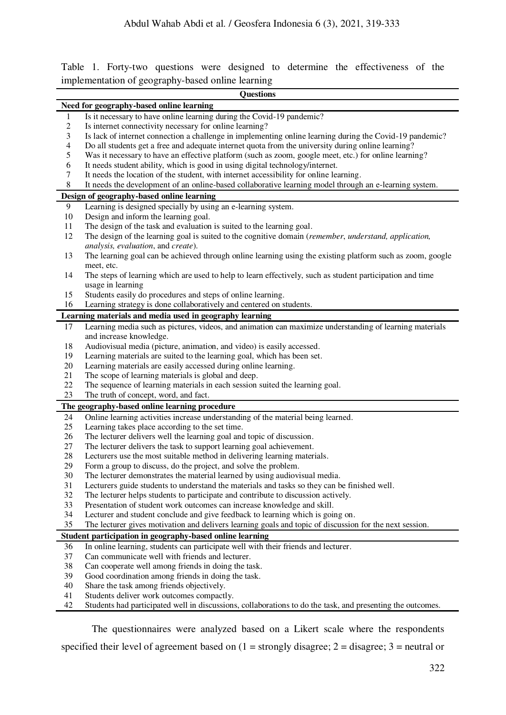Table 1. Forty-two questions were designed to determine the effectiveness of the implementation of geography-based online learning

|            | <b>Questions</b>                                                                                                               |  |  |  |
|------------|--------------------------------------------------------------------------------------------------------------------------------|--|--|--|
|            | Need for geography-based online learning                                                                                       |  |  |  |
| 1          | Is it necessary to have online learning during the Covid-19 pandemic?                                                          |  |  |  |
| $\sqrt{2}$ | Is internet connectivity necessary for online learning?                                                                        |  |  |  |
| 3          | Is lack of internet connection a challenge in implementing online learning during the Covid-19 pandemic?                       |  |  |  |
| 4          | Do all students get a free and adequate internet quota from the university during online learning?                             |  |  |  |
| 5          | Was it necessary to have an effective platform (such as zoom, google meet, etc.) for online learning?                          |  |  |  |
| 6          | It needs student ability, which is good in using digital technology/internet.                                                  |  |  |  |
| 7          | It needs the location of the student, with internet accessibility for online learning.                                         |  |  |  |
| $\,8\,$    | It needs the development of an online-based collaborative learning model through an e-learning system.                         |  |  |  |
|            | Design of geography-based online learning                                                                                      |  |  |  |
| 9          | Learning is designed specially by using an e-learning system.                                                                  |  |  |  |
| 10         | Design and inform the learning goal.                                                                                           |  |  |  |
| 11         | The design of the task and evaluation is suited to the learning goal.                                                          |  |  |  |
| 12         | The design of the learning goal is suited to the cognitive domain (remember, understand, application,                          |  |  |  |
|            | analysis, evaluation, and create).                                                                                             |  |  |  |
| 13         | The learning goal can be achieved through online learning using the existing platform such as zoom, google<br>meet, etc.       |  |  |  |
| 14         | The steps of learning which are used to help to learn effectively, such as student participation and time<br>usage in learning |  |  |  |
| 15         | Students easily do procedures and steps of online learning.                                                                    |  |  |  |
| 16         | Learning strategy is done collaboratively and centered on students.                                                            |  |  |  |
|            | Learning materials and media used in geography learning                                                                        |  |  |  |
| 17         | Learning media such as pictures, videos, and animation can maximize understanding of learning materials                        |  |  |  |
|            | and increase knowledge.                                                                                                        |  |  |  |
| 18         | Audiovisual media (picture, animation, and video) is easily accessed.                                                          |  |  |  |
| 19         | Learning materials are suited to the learning goal, which has been set.                                                        |  |  |  |
| $20\,$     | Learning materials are easily accessed during online learning.                                                                 |  |  |  |
| 21         | The scope of learning materials is global and deep.                                                                            |  |  |  |
| 22         | The sequence of learning materials in each session suited the learning goal.                                                   |  |  |  |
| 23         | The truth of concept, word, and fact.                                                                                          |  |  |  |
|            | The geography-based online learning procedure                                                                                  |  |  |  |
| 24         | Online learning activities increase understanding of the material being learned.                                               |  |  |  |
| 25         | Learning takes place according to the set time.                                                                                |  |  |  |
| 26         | The lecturer delivers well the learning goal and topic of discussion.                                                          |  |  |  |
| 27         | The lecturer delivers the task to support learning goal achievement.                                                           |  |  |  |
| 28         | Lecturers use the most suitable method in delivering learning materials.                                                       |  |  |  |
| 29         | Form a group to discuss, do the project, and solve the problem.                                                                |  |  |  |
| 30         | The lecturer demonstrates the material learned by using audiovisual media.                                                     |  |  |  |
| 31         | Lecturers guide students to understand the materials and tasks so they can be finished well.                                   |  |  |  |
| 32         | The lecturer helps students to participate and contribute to discussion actively.                                              |  |  |  |
| 33         | Presentation of student work outcomes can increase knowledge and skill.                                                        |  |  |  |
| 34         | Lecturer and student conclude and give feedback to learning which is going on.                                                 |  |  |  |
| 35         | The lecturer gives motivation and delivers learning goals and topic of discussion for the next session.                        |  |  |  |
|            | Student participation in geography-based online learning                                                                       |  |  |  |
| 36         | In online learning, students can participate well with their friends and lecturer.                                             |  |  |  |
| 37         | Can communicate well with friends and lecturer.                                                                                |  |  |  |
| 38<br>39   | Can cooperate well among friends in doing the task.<br>Good coordination among friends in doing the task.                      |  |  |  |
| 40         | Share the task among friends objectively.                                                                                      |  |  |  |
| 41         | Students deliver work outcomes compactly.                                                                                      |  |  |  |
| 42         | Students had participated well in discussions, collaborations to do the task, and presenting the outcomes.                     |  |  |  |
|            |                                                                                                                                |  |  |  |

 The questionnaires were analyzed based on a Likert scale where the respondents specified their level of agreement based on  $(1 =$  strongly disagree;  $2 =$  disagree;  $3 =$  neutral or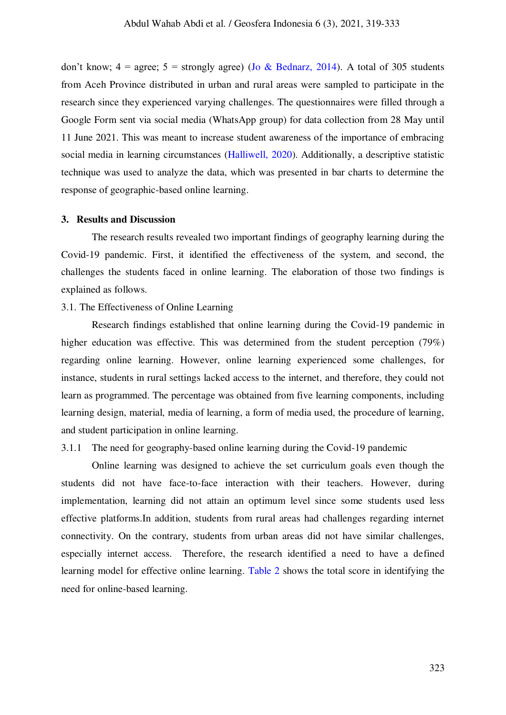don't know;  $4 = \text{agree}$ ;  $5 = \text{strongly agree}$ ) [\(Jo & Bednarz, 2014\).](#page-13-7) A total of 305 students from Aceh Province distributed in urban and rural areas were sampled to participate in the research since they experienced varying challenges. The questionnaires were filled through a Google Form sent via social media (WhatsApp group) for data collection from 28 May until 11 June 2021. This was meant to increase student awareness of the importance of embracing social media in learning circumstances [\(Halliwell, 2020\).](#page-12-5) Additionally, a descriptive statistic technique was used to analyze the data, which was presented in bar charts to determine the response of geographic-based online learning.

#### **3. Results and Discussion**

 The research results revealed two important findings of geography learning during the Covid-19 pandemic. First, it identified the effectiveness of the system, and second, the challenges the students faced in online learning. The elaboration of those two findings is explained as follows.

#### 3.1. The Effectiveness of Online Learning

Research findings established that online learning during the Covid-19 pandemic in higher education was effective. This was determined from the student perception (79%) regarding online learning. However, online learning experienced some challenges, for instance, students in rural settings lacked access to the internet, and therefore, they could not learn as programmed. The percentage was obtained from five learning components, including learning design, material, media of learning, a form of media used, the procedure of learning, and student participation in online learning.

#### 3.1.1 The need for geography-based online learning during the Covid-19 pandemic

 Online learning was designed to achieve the set curriculum goals even though the students did not have face-to-face interaction with their teachers. However, during implementation, learning did not attain an optimum level since some students used less effective platforms.In addition, students from rural areas had challenges regarding internet connectivity. On the contrary, students from urban areas did not have similar challenges, especially internet access. Therefore, the research identified a need to have a defined learning model for effective online learning. [Table 2](#page-5-0) shows the total score in identifying the need for online-based learning.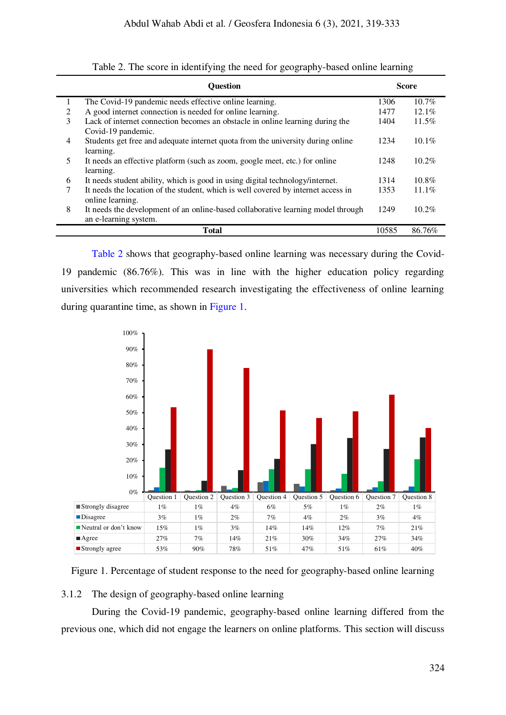<span id="page-5-0"></span>

|   | <b>Ouestion</b>                                                                                           |       | <b>Score</b> |  |
|---|-----------------------------------------------------------------------------------------------------------|-------|--------------|--|
| 1 | The Covid-19 pandemic needs effective online learning.                                                    | 1306  | $10.7\%$     |  |
| 2 | A good internet connection is needed for online learning.                                                 | 1477  | $12.1\%$     |  |
| 3 | Lack of internet connection becomes an obstacle in online learning during the<br>Covid-19 pandemic.       | 1404  | $11.5\%$     |  |
| 4 | Students get free and adequate internet quota from the university during online<br>learning.              | 1234  | $10.1\%$     |  |
| 5 | It needs an effective platform (such as zoom, google meet, etc.) for online<br>learning.                  | 1248  | $10.2\%$     |  |
| 6 | It needs student ability, which is good in using digital technology/internet.                             | 1314  | $10.8\%$     |  |
| 7 | It needs the location of the student, which is well covered by internet access in<br>online learning.     | 1353  | $11.1\%$     |  |
| 8 | It needs the development of an online-based collaborative learning model through<br>an e-learning system. | 1249  | $10.2\%$     |  |
|   | <b>Total</b>                                                                                              | 10585 | 86.76%       |  |

Table 2. The score in identifying the need for geography-based online learning

[Table 2](#page-5-0) shows that geography-based online learning was necessary during the Covid-19 pandemic (86.76%). This was in line with the higher education policy regarding universities which recommended research investigating the effectiveness of online learning during quarantine time, as shown in [Figure 1.](#page-5-1)



<span id="page-5-1"></span>Figure 1. Percentage of student response to the need for geography-based online learning

# 3.1.2 The design of geography-based online learning

 During the Covid-19 pandemic, geography-based online learning differed from the previous one, which did not engage the learners on online platforms. This section will discuss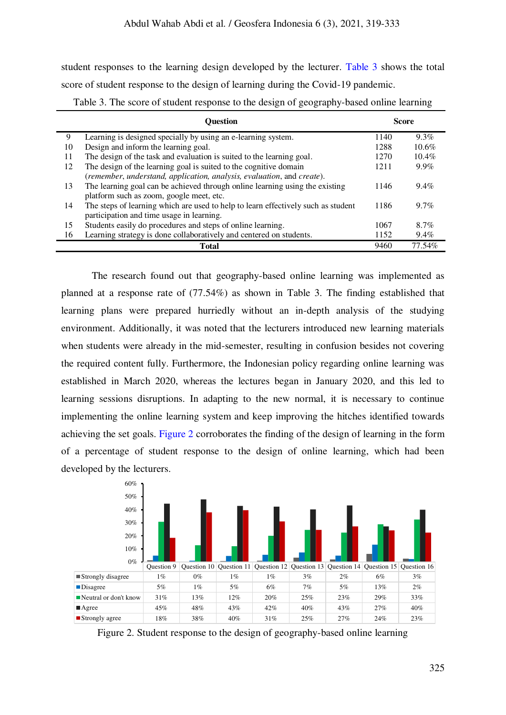student responses to the learning design developed by the lecturer. [Table 3](#page-6-0) shows the total score of student response to the design of learning during the Covid-19 pandemic.

|    | Ouestion                                                                          |      | Score    |  |
|----|-----------------------------------------------------------------------------------|------|----------|--|
| 9  | Learning is designed specially by using an e-learning system.                     | 1140 | $9.3\%$  |  |
| 10 | Design and inform the learning goal.                                              | 1288 | $10.6\%$ |  |
| 11 | The design of the task and evaluation is suited to the learning goal.             | 1270 | $10.4\%$ |  |
| 12 | The design of the learning goal is suited to the cognitive domain                 | 1211 | $9.9\%$  |  |
|    | (remember, understand, application, analysis, evaluation, and create).            |      |          |  |
| 13 | The learning goal can be achieved through online learning using the existing      | 1146 | $9.4\%$  |  |
|    | platform such as zoom, google meet, etc.                                          |      |          |  |
| 14 | The steps of learning which are used to help to learn effectively such as student | 1186 | $9.7\%$  |  |
|    | participation and time usage in learning.                                         |      |          |  |
| 15 | Students easily do procedures and steps of online learning.                       | 1067 | 8.7%     |  |
| 16 | Learning strategy is done collaboratively and centered on students.               | 1152 | $9.4\%$  |  |
|    | <b>Total</b>                                                                      | 9460 | 77.54%   |  |

<span id="page-6-0"></span>Table 3. The score of student response to the design of geography-based online learning

The research found out that geography-based online learning was implemented as planned at a response rate of (77.54%) as shown in Table 3. The finding established that learning plans were prepared hurriedly without an in-depth analysis of the studying environment. Additionally, it was noted that the lecturers introduced new learning materials when students were already in the mid-semester, resulting in confusion besides not covering the required content fully. Furthermore, the Indonesian policy regarding online learning was established in March 2020, whereas the lectures began in January 2020, and this led to learning sessions disruptions. In adapting to the new normal, it is necessary to continue implementing the online learning system and keep improving the hitches identified towards achieving the set goals. [Figure 2](#page-6-1) corroborates the finding of the design of learning in the form of a percentage of student response to the design of online learning, which had been developed by the lecturers.



<span id="page-6-1"></span>Figure 2. Student response to the design of geography-based online learning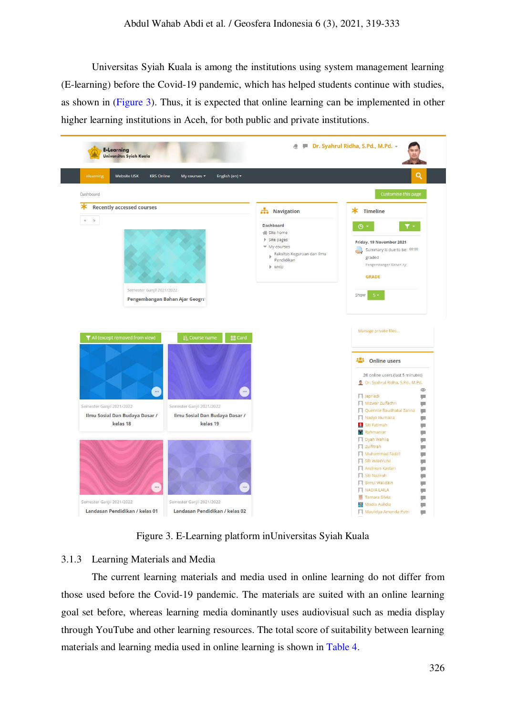Universitas Syiah Kuala is among the institutions using system management learning (E-learning) before the Covid-19 pandemic, which has helped students continue with studies, as shown in [\(Figure 3\)](#page-7-0). Thus, it is expected that online learning can be implemented in other higher learning institutions in Aceh, for both public and private institutions.



Figure 3. E-Learning platform inUniversitas Syiah Kuala

#### <span id="page-7-0"></span>3.1.3 Learning Materials and Media

 The current learning materials and media used in online learning do not differ from those used before the Covid-19 pandemic. The materials are suited with an online learning goal set before, whereas learning media dominantly uses audiovisual such as media display through YouTube and other learning resources. The total score of suitability between learning materials and learning media used in online learning is shown in [Table 4.](#page-8-0)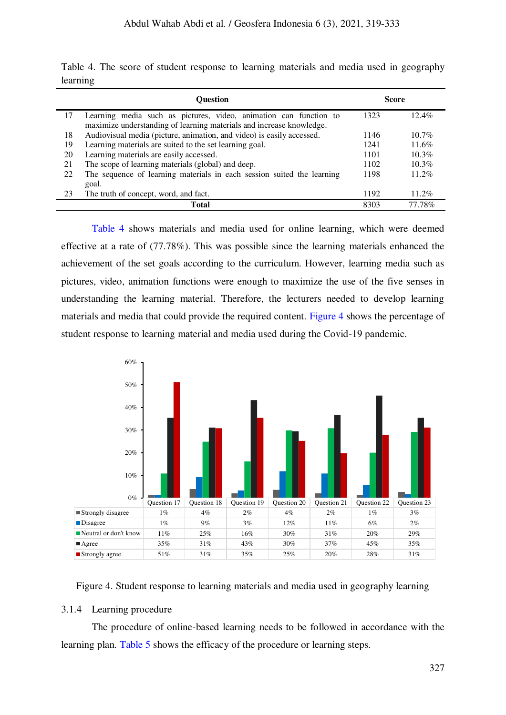|    | <b>Ouestion</b>                                                                                                                           |      | <b>Score</b> |  |
|----|-------------------------------------------------------------------------------------------------------------------------------------------|------|--------------|--|
| 17 | Learning media such as pictures, video, animation can function to<br>maximize understanding of learning materials and increase knowledge. | 1323 | $12.4\%$     |  |
| 18 | Audiovisual media (picture, animation, and video) is easily accessed.                                                                     | 1146 | $10.7\%$     |  |
| 19 | Learning materials are suited to the set learning goal.                                                                                   | 1241 | $11.6\%$     |  |
| 20 | Learning materials are easily accessed.                                                                                                   | 1101 | $10.3\%$     |  |
| 21 | The scope of learning materials (global) and deep.                                                                                        | 1102 | $10.3\%$     |  |
| 22 | The sequence of learning materials in each session suited the learning                                                                    | 1198 | 11.2%        |  |
|    | goal.                                                                                                                                     |      |              |  |
| 23 | The truth of concept, word, and fact.                                                                                                     | 1192 | $11.2\%$     |  |
|    | Total                                                                                                                                     | 8303 | 77.78%       |  |

<span id="page-8-0"></span>Table 4. The score of student response to learning materials and media used in geography learning

[Table 4](#page-8-0) shows materials and media used for online learning, which were deemed effective at a rate of (77.78%). This was possible since the learning materials enhanced the achievement of the set goals according to the curriculum. However, learning media such as pictures, video, animation functions were enough to maximize the use of the five senses in understanding the learning material. Therefore, the lecturers needed to develop learning materials and media that could provide the required content. [Figure 4](#page-8-1) shows the percentage of student response to learning material and media used during the Covid-19 pandemic.



<span id="page-8-1"></span>Figure 4. Student response to learning materials and media used in geography learning

#### 3.1.4 Learning procedure

 The procedure of online-based learning needs to be followed in accordance with the learning plan. [Table 5](#page-9-0) shows the efficacy of the procedure or learning steps.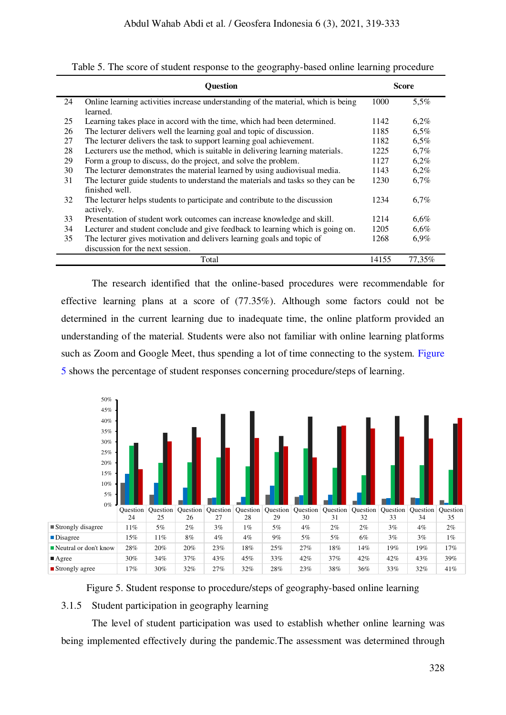|    | <b>Ouestion</b>                                                                          |       | <b>Score</b> |  |
|----|------------------------------------------------------------------------------------------|-------|--------------|--|
| 24 | Online learning activities increase understanding of the material, which is being        | 1000  | 5,5%         |  |
|    | learned.                                                                                 |       |              |  |
| 25 | Learning takes place in accord with the time, which had been determined.                 | 1142  | $6,2\%$      |  |
| 26 | The lecturer delivers well the learning goal and topic of discussion.                    | 1185  | 6,5%         |  |
| 27 | The lecturer delivers the task to support learning goal achievement.                     | 1182  | 6,5%         |  |
| 28 | Lecturers use the method, which is suitable in delivering learning materials.            | 1225  | 6,7%         |  |
| 29 | Form a group to discuss, do the project, and solve the problem.                          | 1127  | 6,2%         |  |
| 30 | The lecturer demonstrates the material learned by using audiovisual media.               | 1143  | $6,2\%$      |  |
| 31 | The lecturer guide students to understand the materials and tasks so they can be         | 1230  | 6,7%         |  |
|    | finished well.                                                                           |       |              |  |
| 32 | The lecturer helps students to participate and contribute to the discussion<br>actively. | 1234  | 6,7%         |  |
| 33 | Presentation of student work outcomes can increase knowledge and skill.                  | 1214  | 6,6%         |  |
| 34 | Lecturer and student conclude and give feedback to learning which is going on.           | 1205  | 6,6%         |  |
| 35 | The lecturer gives motivation and delivers learning goals and topic of                   | 1268  | 6,9%         |  |
|    | discussion for the next session.                                                         |       |              |  |
|    | Total                                                                                    | 14155 | 77,35%       |  |

<span id="page-9-0"></span>Table 5. The score of student response to the geography-based online learning procedure

The research identified that the online-based procedures were recommendable for effective learning plans at a score of (77.35%). Although some factors could not be determined in the current learning due to inadequate time, the online platform provided an understanding of the material. Students were also not familiar with online learning platforms such as Zoom and Google Meet, thus spending a lot of time connecting to the system. [Figure](#page-9-1)  [5](#page-9-1) shows the percentage of student responses concerning procedure/steps of learning.



<span id="page-9-1"></span>Figure 5. Student response to procedure/steps of geography-based online learning

# 3.1.5 Student participation in geography learning

 The level of student participation was used to establish whether online learning was being implemented effectively during the pandemic.The assessment was determined through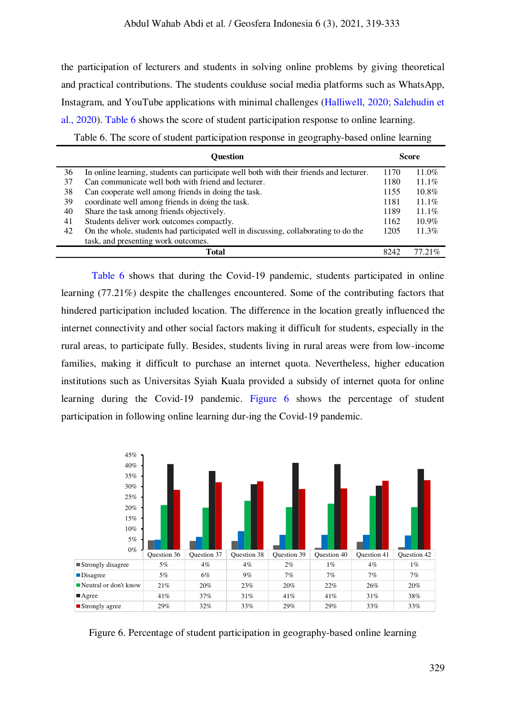the participation of lecturers and students in solving online problems by giving theoretical and practical contributions. The students coulduse social media platforms such as WhatsApp, Instagram, and YouTube applications with minimal challenges [\(Halliwell, 2020; Salehudin et](#page-12-5)  [al., 2020\).](#page-14-6) [Table 6](#page-10-0) shows the score of student participation response to online learning.

<span id="page-10-0"></span>Table 6. The score of student participation response in geography-based online learning

|    | <b>Ouestion</b>                                                                         |      | <b>Score</b> |  |
|----|-----------------------------------------------------------------------------------------|------|--------------|--|
| 36 | In online learning, students can participate well both with their friends and lecturer. | 1170 | 11.0%        |  |
| 37 | Can communicate well both with friend and lecturer.                                     | 1180 | $11.1\%$     |  |
| 38 | Can cooperate well among friends in doing the task.                                     | 1155 | $10.8\%$     |  |
| 39 | coordinate well among friends in doing the task.                                        | 1181 | $11.1\%$     |  |
| 40 | Share the task among friends objectively.                                               | 1189 | $11.1\%$     |  |
| 41 | Students deliver work outcomes compactly.                                               | 1162 | $10.9\%$     |  |
| 42 | On the whole, students had participated well in discussing, collaborating to do the     | 1205 | $11.3\%$     |  |
|    | task, and presenting work outcomes.                                                     |      |              |  |
|    | <b>Total</b>                                                                            | 8242 | 77.21%       |  |

[Table 6](#page-10-0) shows that during the Covid-19 pandemic, students participated in online learning (77.21%) despite the challenges encountered. Some of the contributing factors that hindered participation included location. The difference in the location greatly influenced the internet connectivity and other social factors making it difficult for students, especially in the rural areas, to participate fully. Besides, students living in rural areas were from low-income families, making it difficult to purchase an internet quota. Nevertheless, higher education institutions such as Universitas Syiah Kuala provided a subsidy of internet quota for online learning during the Covid-19 pandemic. [Figure 6](#page-10-1) shows the percentage of student participation in following online learning dur-ing the Covid-19 pandemic.



<span id="page-10-1"></span>Figure 6. Percentage of student participation in geography-based online learning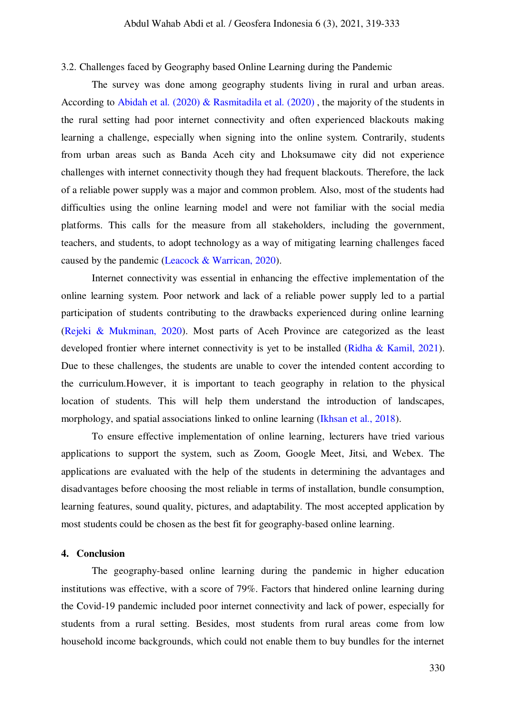#### 3.2. Challenges faced by Geography based Online Learning during the Pandemic

 The survey was done among geography students living in rural and urban areas. According to [Abidah et al. \(2020\)](#page-12-6) [& Rasmitadila et al. \(2020\)](#page-13-8) , the majority of the students in the rural setting had poor internet connectivity and often experienced blackouts making learning a challenge, especially when signing into the online system. Contrarily, students from urban areas such as Banda Aceh city and Lhoksumawe city did not experience challenges with internet connectivity though they had frequent blackouts. Therefore, the lack of a reliable power supply was a major and common problem. Also, most of the students had difficulties using the online learning model and were not familiar with the social media platforms. This calls for the measure from all stakeholders, including the government, teachers, and students, to adopt technology as a way of mitigating learning challenges faced caused by the pandemic [\(Leacock & Warrican, 2020\).](#page-13-9)

Internet connectivity was essential in enhancing the effective implementation of the online learning system. Poor network and lack of a reliable power supply led to a partial participation of students contributing to the drawbacks experienced during online learning [\(Rejeki & Mukminan, 2020\).](#page-13-10) Most parts of Aceh Province are categorized as the least developed frontier where internet connectivity is yet to be installed [\(Ridha & Kamil, 2021\).](#page-14-7) Due to these challenges, the students are unable to cover the intended content according to the curriculum.However, it is important to teach geography in relation to the physical location of students. This will help them understand the introduction of landscapes, morphology, and spatial associations linked to online learning [\(Ikhsan et al., 2018\).](#page-13-11)

To ensure effective implementation of online learning, lecturers have tried various applications to support the system, such as Zoom, Google Meet, Jitsi, and Webex. The applications are evaluated with the help of the students in determining the advantages and disadvantages before choosing the most reliable in terms of installation, bundle consumption, learning features, sound quality, pictures, and adaptability. The most accepted application by most students could be chosen as the best fit for geography-based online learning.

#### **4. Conclusion**

 The geography-based online learning during the pandemic in higher education institutions was effective, with a score of 79%. Factors that hindered online learning during the Covid-19 pandemic included poor internet connectivity and lack of power, especially for students from a rural setting. Besides, most students from rural areas come from low household income backgrounds, which could not enable them to buy bundles for the internet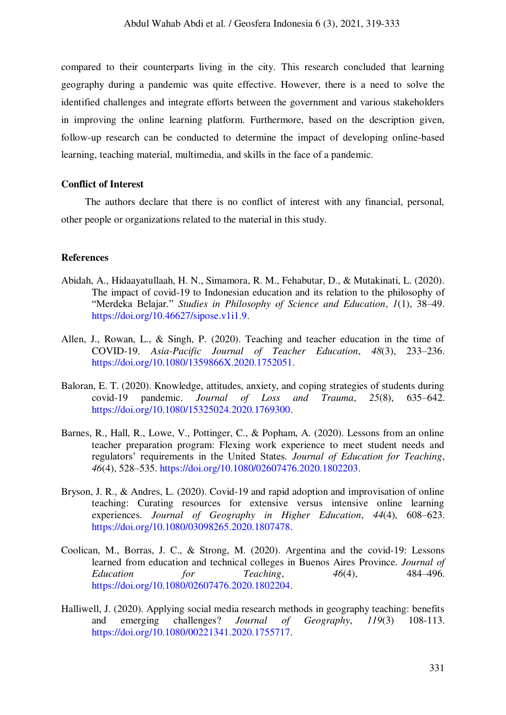compared to their counterparts living in the city. This research concluded that learning geography during a pandemic was quite effective. However, there is a need to solve the identified challenges and integrate efforts between the government and various stakeholders in improving the online learning platform. Furthermore, based on the description given, follow-up research can be conducted to determine the impact of developing online-based learning, teaching material, multimedia, and skills in the face of a pandemic.

## **Conflict of Interest**

The authors declare that there is no conflict of interest with any financial, personal, other people or organizations related to the material in this study.

#### **References**

- <span id="page-12-6"></span>Abidah, A., Hidaayatullaah, H. N., Simamora, R. M., Fehabutar, D., & Mutakinati, L. (2020). The impact of covid-19 to Indonesian education and its relation to the philosophy of "Merdeka Belajar." *Studies in Philosophy of Science and Education*, *1*(1), 38–49. [https://doi.org/10.46627/sipose.v1i1.9.](https://scie-journal.com/index.php/SiPoSE/article/view/9)
- <span id="page-12-3"></span>Allen, J., Rowan, L., & Singh, P. (2020). Teaching and teacher education in the time of COVID-19. *Asia-Pacific Journal of Teacher Education*, *48*(3), 233–236. [https://doi.org/10.1080/1359866X.2020.1752051.](https://www.tandfonline.com/doi/full/10.1080/1359866X.2020.1752051)
- <span id="page-12-0"></span>Baloran, E. T. (2020). Knowledge, attitudes, anxiety, and coping strategies of students during covid-19 pandemic. *Journal of Loss and Trauma*, *25*(8), 635–642. [https://doi.org/10.1080/15325024.2020.1769300.](https://www.tandfonline.com/doi/full/10.1080/15325024.2020.1769300)
- <span id="page-12-1"></span>Barnes, R., Hall, R., Lowe, V., Pottinger, C., & Popham, A. (2020). Lessons from an online teacher preparation program: Flexing work experience to meet student needs and regulators' requirements in the United States. *Journal of Education for Teaching*, *46*(4), 528–535. [https://doi.org/10.1080/02607476.2020.1802203.](https://www.tandfonline.com/doi/full/10.1080/02607476.2020.1802203)
- <span id="page-12-4"></span>Bryson, J. R., & Andres, L. (2020). Covid-19 and rapid adoption and improvisation of online teaching: Curating resources for extensive versus intensive online learning experiences. *Journal of Geography in Higher Education*, *44*(4), 608–623. [https://doi.org/10.1080/03098265.2020.1807478.](https://www.tandfonline.com/doi/full/10.1080/03098265.2020.1807478)
- <span id="page-12-2"></span>Coolican, M., Borras, J. C., & Strong, M. (2020). Argentina and the covid-19: Lessons learned from education and technical colleges in Buenos Aires Province. *Journal of Education for Teaching*, 46(4), 484–496. [https://doi.org/10.1080/02607476.2020.1802204.](https://www.tandfonline.com/doi/full/10.1080/02607476.2020.1802204)
- <span id="page-12-5"></span>Halliwell, J. (2020). Applying social media research methods in geography teaching: benefits and emerging challenges? *Journal of Geography*, *119*(3) 108-113. [https://doi.org/10.1080/00221341.2020.1755717.](https://www.tandfonline.com/doi/full/10.1080/00221341.2020.1755717)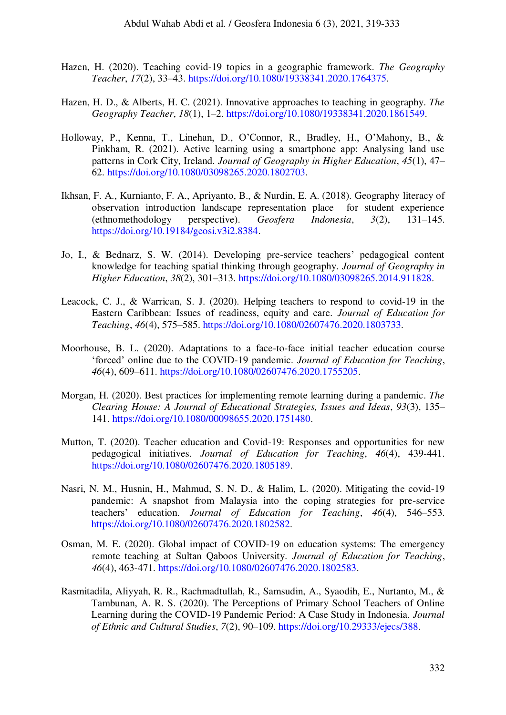- <span id="page-13-5"></span>Hazen, H. (2020). Teaching covid-19 topics in a geographic framework. *The Geography Teacher*, *17*(2), 33–43. [https://doi.org/10.1080/19338341.2020.1764375.](https://www.tandfonline.com/doi/full/10.1080/19338341.2020.1764375)
- <span id="page-13-6"></span>Hazen, H. D., & Alberts, H. C. (2021). Innovative approaches to teaching in geography. *The Geography Teacher*, *18*(1), 1–2. [https://doi.org/10.1080/19338341.2020.1861549.](https://www.tandfonline.com/doi/full/10.1080/19338341.2020.1861549)
- <span id="page-13-11"></span>Holloway, P., Kenna, T., Linehan, D., O'Connor, R., Bradley, H., O'Mahony, B., & Pinkham, R. (2021). Active learning using a smartphone app: Analysing land use patterns in Cork City, Ireland. *Journal of Geography in Higher Education*, *45*(1), 47– 62. [https://doi.org/10.1080/03098265.2020.1802703.](https://www.tandfonline.com/doi/full/10.1080/03098265.2020.1802703)
- Ikhsan, F. A., Kurnianto, F. A., Apriyanto, B., & Nurdin, E. A. (2018). Geography literacy of observation introduction landscape representation place for student experience (ethnomethodology perspective). *Geosfera Indonesia*, *3*(2), 131–145. [https://doi.org/10.19184/geosi.v3i2.8384.](https://jurnal.unej.ac.id/index.php/GEOSI/article/view/8384)
- <span id="page-13-7"></span>Jo, I., & Bednarz, S. W. (2014). Developing pre-service teachers' pedagogical content knowledge for teaching spatial thinking through geography. *Journal of Geography in Higher Education*, *38*(2), 301–313. [https://doi.org/10.1080/03098265.2014.911828.](https://www.tandfonline.com/doi/abs/10.1080/03098265.2014.911828)
- <span id="page-13-9"></span>Leacock, C. J., & Warrican, S. J. (2020). Helping teachers to respond to covid-19 in the Eastern Caribbean: Issues of readiness, equity and care. *Journal of Education for Teaching*, *46*(4), 575–585. [https://doi.org/10.1080/02607476.2020.1803733.](https://www.tandfonline.com/doi/full/10.1080/02607476.2020.1803733)
- <span id="page-13-3"></span>Moorhouse, B. L. (2020). Adaptations to a face-to-face initial teacher education course 'forced' online due to the COVID-19 pandemic. *Journal of Education for Teaching*, *46*(4), 609–611. [https://doi.org/10.1080/02607476.2020.1755205.](https://www.tandfonline.com/doi/full/10.1080/02607476.2020.1755205)
- <span id="page-13-2"></span>Morgan, H. (2020). Best practices for implementing remote learning during a pandemic. *The Clearing House: A Journal of Educational Strategies, Issues and Ideas*, *93*(3), 135– 141[. https://doi.org/10.1080/00098655.2020.1751480.](https://www.tandfonline.com/doi/full/10.1080/00098655.2020.1751480)
- <span id="page-13-0"></span>Mutton, T. (2020). Teacher education and Covid-19: Responses and opportunities for new pedagogical initiatives. *Journal of Education for Teaching*, *46*(4), 439-441. [https://doi.org/10.1080/02607476.2020.1805189.](https://www.tandfonline.com/doi/full/10.1080/02607476.2020.1805189)
- <span id="page-13-1"></span>Nasri, N. M., Husnin, H., Mahmud, S. N. D., & Halim, L. (2020). Mitigating the covid-19 pandemic: A snapshot from Malaysia into the coping strategies for pre-service teachers' education. *Journal of Education for Teaching*, *46*(4), 546–553. [https://doi.org/10.1080/02607476.2020.1802582.](https://www.tandfonline.com/doi/full/10.1080/02607476.2020.1802582)
- <span id="page-13-4"></span>Osman, M. E. (2020). Global impact of COVID-19 on education systems: The emergency remote teaching at Sultan Qaboos University. *Journal of Education for Teaching*, *46*(4), 463-471. [https://doi.org/10.1080/02607476.2020.1802583.](https://www.tandfonline.com/doi/full/10.1080/02607476.2020.1802583)
- <span id="page-13-10"></span><span id="page-13-8"></span>Rasmitadila, Aliyyah, R. R., Rachmadtullah, R., Samsudin, A., Syaodih, E., Nurtanto, M., & Tambunan, A. R. S. (2020). The Perceptions of Primary School Teachers of Online Learning during the COVID-19 Pandemic Period: A Case Study in Indonesia. *Journal of Ethnic and Cultural Studies*, *7*(2), 90–109. [https://doi.org/10.29333/ejecs/388.](http://www.ejecs.org/index.php/JECS/article/view/388)